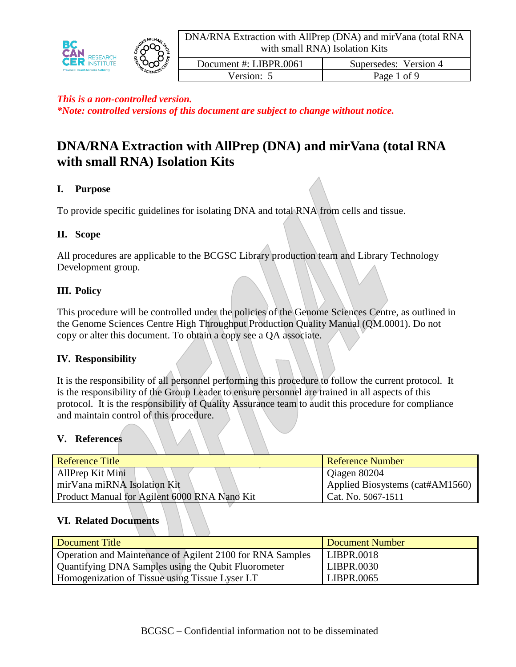





Documentation Document #: LIBPR.0061 | Supersedes: Version 4 Version: 5 Page 1 of 9

#### *This is a non-controlled version.*

*\*Note: controlled versions of this document are subject to change without notice.*

# **DNA/RNA Extraction with AllPrep (DNA) and mirVana (total RNA with small RNA) Isolation Kits**

# **I. Purpose**

To provide specific guidelines for isolating DNA and total RNA from cells and tissue.

# **II. Scope**

All procedures are applicable to the BCGSC Library production team and Library Technology Development group.

# **III. Policy**

This procedure will be controlled under the policies of the Genome Sciences Centre, as outlined in the Genome Sciences Centre High Throughput Production Quality Manual (QM.0001). Do not copy or alter this document. To obtain a copy see a QA associate.

### **IV. Responsibility**

It is the responsibility of all personnel performing this procedure to follow the current protocol. It is the responsibility of the Group Leader to ensure personnel are trained in all aspects of this protocol. It is the responsibility of Quality Assurance team to audit this procedure for compliance and maintain control of this procedure.

### **V. References**

| <b>Reference Title</b>                       | <b>Reference Number</b>         |
|----------------------------------------------|---------------------------------|
| AllPrep Kit Mini                             | Qiagen 80204                    |
| mirVana miRNA Isolation Kit                  | Applied Biosystems (cat#AM1560) |
| Product Manual for Agilent 6000 RNA Nano Kit | Cat. No. 5067-1511              |

### **VI. Related Documents**

| Document Title                                            | Document Number   |
|-----------------------------------------------------------|-------------------|
| Operation and Maintenance of Agilent 2100 for RNA Samples | LIBPR.0018        |
| Quantifying DNA Samples using the Qubit Fluorometer       | <b>LIBPR.0030</b> |
| Homogenization of Tissue using Tissue Lyser LT            | LIBPR.0065        |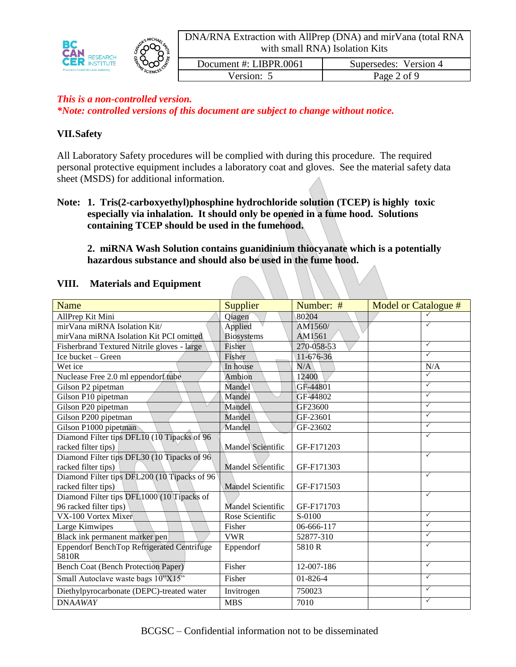DNA/RNA Extraction with AllPrep (DNA) and mirVana (total RNA with small RNA) Isolation Kits





Documentation Document #: LIBPR.0061 | Supersedes: Version 4 Version: 5 Page 2 of 9

# *This is a non-controlled version.*

*\*Note: controlled versions of this document are subject to change without notice.*

### **VII.Safety**

All Laboratory Safety procedures will be complied with during this procedure. The required personal protective equipment includes a laboratory coat and gloves. See the material safety data sheet (MSDS) for additional information.

### **Note: 1. Tris(2-carboxyethyl)phosphine hydrochloride solution (TCEP) is highly toxic especially via inhalation. It should only be opened in a fume hood. Solutions containing TCEP should be used in the fumehood.**

**2. miRNA Wash Solution contains guanidinium thiocyanate which is a potentially hazardous substance and should also be used in the fume hood.**

#### **VIII. Materials and Equipment**

| Name                                                | Supplier                 | Number: #      | Model or Catalogue # |
|-----------------------------------------------------|--------------------------|----------------|----------------------|
| AllPrep Kit Mini                                    | Qiagen                   | 80204          |                      |
| mirVana miRNA Isolation Kit/                        | Applied                  | AM1560/        | $\checkmark$         |
| mirVana miRNA Isolation Kit PCI omitted             | <b>Biosystems</b>        | AM1561         |                      |
| Fisherbrand Textured Nitrile gloves - large         | Fisher                   | 270-058-53     | $\checkmark$         |
| Ice bucket – Green                                  | Fisher                   | $11-676-36$    | $\checkmark$         |
| Wet ice                                             | In house                 | N/A            | N/A                  |
| Nuclease Free 2.0 ml eppendorf tube                 | Ambion                   | 12400          | $\checkmark$         |
| Gilson P2 pipetman                                  | Mandel                   | GF-44801       | $\checkmark$         |
| Gilson P10 pipetman                                 | Mandel                   | GF-44802       | $\checkmark$         |
| Gilson P20 pipetman                                 | Mandel                   | GF23600        | $\checkmark$         |
| Gilson P200 pipetman                                | Mandel                   | GF-23601       | $\checkmark$         |
| Gilson P1000 pipetman                               | Mandel                   | GF-23602       | $\checkmark$         |
| Diamond Filter tips DFL10 (10 Tipacks of 96         |                          |                | $\checkmark$         |
| racked filter tips)                                 | Mandel Scientific        | GF-F171203     |                      |
| Diamond Filter tips DFL30 (10 Tipacks of 96         |                          |                | $\checkmark$         |
| racked filter tips)                                 | Mandel Scientific        | GF-F171303     |                      |
| Diamond Filter tips DFL200 (10 Tipacks of 96        |                          |                | $\checkmark$         |
| racked filter tips)                                 | <b>Mandel Scientific</b> | GF-F171503     |                      |
| Diamond Filter tips DFL1000 (10 Tipacks of          |                          |                | $\checkmark$         |
| 96 racked filter tips)                              | Mandel Scientific        | GF-F171703     |                      |
| VX-100 Vortex Mixer                                 | Rose Scientific          | S-0100         | $\checkmark$         |
| Large Kimwipes                                      | Fisher                   | 06-666-117     | $\checkmark$         |
| Black ink permanent marker pen                      | <b>VWR</b>               | 52877-310      | $\checkmark$         |
| Eppendorf BenchTop Refrigerated Centrifuge<br>5810R | Eppendorf                | 5810R          | $\checkmark$         |
| <b>Bench Coat (Bench Protection Paper)</b>          | Fisher                   | 12-007-186     | $\checkmark$         |
| Small Autoclave waste bags 10"X15"                  | Fisher                   | $01 - 826 - 4$ | $\checkmark$         |
| Diethylpyrocarbonate (DEPC)-treated water           | Invitrogen               | 750023         | $\checkmark$         |
| <b>DNAAWAY</b>                                      | <b>MBS</b>               | 7010           | $\checkmark$         |

BCGSC – Confidential information not to be disseminated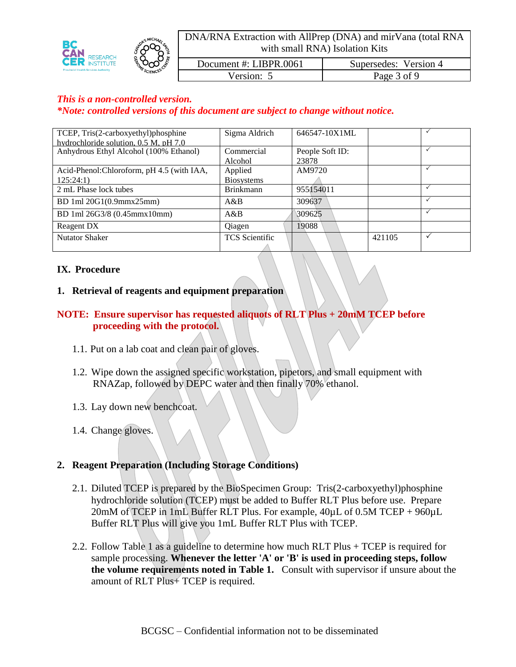DNA/RNA Extraction with AllPrep (DNA) and mirVana (total RNA with small RNA) Isolation Kits Documentation Document #: LIBPR.0061 | Supersedes: Version 4 Version: 5 Page 3 of 9

#### *This is a non-controlled version.*

*\*Note: controlled versions of this document are subject to change without notice.*

| TCEP, Tris(2-carboxyethyl)phosphine        | Sigma Aldrich         | 646547-10X1ML   |        |  |
|--------------------------------------------|-----------------------|-----------------|--------|--|
| hydrochloride solution, 0.5 M, pH 7.0      |                       |                 |        |  |
| Anhydrous Ethyl Alcohol (100% Ethanol)     | Commercial            | People Soft ID: |        |  |
|                                            | Alcohol               | 23878           |        |  |
| Acid-Phenol: Chloroform, pH 4.5 (with IAA, | Applied               | AM9720          |        |  |
| 125:24:1)                                  | <b>Biosystems</b>     |                 |        |  |
| 2 mL Phase lock tubes                      | <b>Brinkmann</b>      | 955154011       |        |  |
| BD 1ml 20G1(0.9mmx25mm)                    | A&B                   | 309637          |        |  |
| BD 1ml 26G3/8 (0.45mmx10mm)                | A&B                   | 309625          |        |  |
| Reagent DX                                 | Oiagen                | 19088           |        |  |
| <b>Nutator Shaker</b>                      | <b>TCS</b> Scientific |                 | 421105 |  |
|                                            |                       |                 |        |  |

#### **IX. Procedure**

#### **1. Retrieval of reagents and equipment preparation**

#### **NOTE: Ensure supervisor has requested aliquots of RLT Plus + 20mM TCEP before proceeding with the protocol.**

- 1.1. Put on a lab coat and clean pair of gloves.
- 1.2. Wipe down the assigned specific workstation, pipetors, and small equipment with RNAZap, followed by DEPC water and then finally 70% ethanol.
- 1.3. Lay down new benchcoat.
- 1.4. Change gloves.

#### **2. Reagent Preparation (Including Storage Conditions)**

- 2.1. Diluted TCEP is prepared by the BioSpecimen Group: Tris(2-carboxyethyl)phosphine hydrochloride solution (TCEP) must be added to Buffer RLT Plus before use. Prepare 20mM of TCEP in 1mL Buffer RLT Plus. For example,  $40 \mu L$  of 0.5M TCEP + 960 $\mu$ L Buffer RLT Plus will give you 1mL Buffer RLT Plus with TCEP.
- 2.2. Follow Table 1 as a guideline to determine how much RLT Plus + TCEP is required for sample processing. **Whenever the letter 'A' or 'B' is used in proceeding steps, follow the volume requirements noted in Table 1.** Consult with supervisor if unsure about the amount of RLT Plus+ TCEP is required.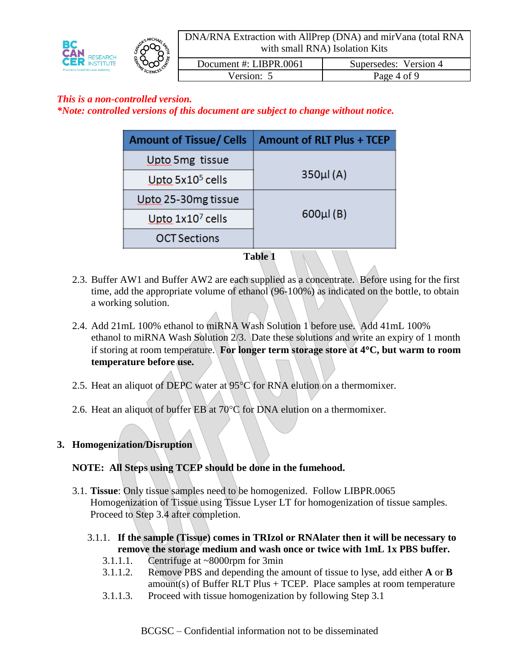DNA/RNA Extraction with AllPrep (DNA) and mirVana (total RNA with small RNA) Isolation Kits





| Document #: LIBPR.0061 | Supersedes: Version 4 |
|------------------------|-----------------------|
| Version: 5             | Page 4 of 9           |

# *This is a non-controlled version.*

*\*Note: controlled versions of this document are subject to change without notice.*

| <b>Amount of Tissue/Cells</b> | <b>Amount of RLT Plus + TCEP</b> |
|-------------------------------|----------------------------------|
| Upto 5mg tissue               |                                  |
| Upto $5x105$ cells            | $350\mu$ $(A)$                   |
| Upto 25-30mg tissue           |                                  |
| Upto $1x107$ cells            | $600 \mu l$ (B)                  |
| <b>OCT Sections</b>           |                                  |

**Table 1** 

- 2.3. Buffer AW1 and Buffer AW2 are each supplied as a concentrate. Before using for the first time, add the appropriate volume of ethanol (96-100%) as indicated on the bottle, to obtain a working solution.
- 2.4. Add 21mL 100% ethanol to miRNA Wash Solution 1 before use. Add 41mL 100% ethanol to miRNA Wash Solution 2/3. Date these solutions and write an expiry of 1 month if storing at room temperature. **For longer term storage store at 4C, but warm to room temperature before use.**
- 2.5. Heat an aliquot of DEPC water at  $95^{\circ}$ C for RNA elution on a thermomixer.
- 2.6. Heat an aliquot of buffer EB at  $70^{\circ}$ C for DNA elution on a thermomixer.

### **3. Homogenization/Disruption**

### **NOTE: All Steps using TCEP should be done in the fumehood.**

- 3.1. **Tissue**: Only tissue samples need to be homogenized. Follow LIBPR.0065 Homogenization of Tissue using Tissue Lyser LT for homogenization of tissue samples. Proceed to Step 3.4 after completion.
	- 3.1.1. **If the sample (Tissue) comes in TRIzol or RNAlater then it will be necessary to remove the storage medium and wash once or twice with 1mL 1x PBS buffer.**
		- 3.1.1.1. Centrifuge at ~8000rpm for 3min
		- 3.1.1.2. Remove PBS and depending the amount of tissue to lyse, add either **A** or **B**  amount(s) of Buffer RLT Plus + TCEP. Place samples at room temperature
		- 3.1.1.3. Proceed with tissue homogenization by following Step 3.1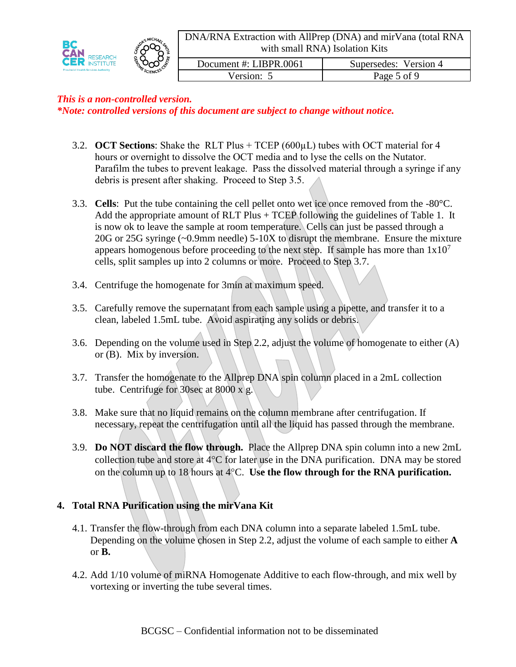DNA/RNA Extraction with AllPrep (DNA) and mirVana (total RNA with small RNA) Isolation Kits





Documentation Document #: LIBPR.0061 | Supersedes: Version 4 Version: 5 Page 5 of 9

# *This is a non-controlled version.*

*\*Note: controlled versions of this document are subject to change without notice.*

- 3.2. **OCT Sections**: Shake the RLT Plus + TCEP (600µL) tubes with OCT material for 4 hours or overnight to dissolve the OCT media and to lyse the cells on the Nutator. Parafilm the tubes to prevent leakage. Pass the dissolved material through a syringe if any debris is present after shaking. Proceed to Step 3.5.
- 3.3. **Cells**: Put the tube containing the cell pellet onto wet ice once removed from the -80°C. Add the appropriate amount of RLT Plus + TCEP following the guidelines of Table 1. It is now ok to leave the sample at room temperature. Cells can just be passed through a 20G or 25G syringe (~0.9mm needle) 5-10X to disrupt the membrane. Ensure the mixture appears homogenous before proceeding to the next step. If sample has more than  $1x10<sup>7</sup>$ cells, split samples up into 2 columns or more. Proceed to Step 3.7.
- 3.4. Centrifuge the homogenate for 3min at maximum speed.
- 3.5. Carefully remove the supernatant from each sample using a pipette, and transfer it to a clean, labeled 1.5mL tube. Avoid aspirating any solids or debris.
- 3.6. Depending on the volume used in Step 2.2, adjust the volume of homogenate to either (A) or (B). Mix by inversion.
- 3.7. Transfer the homogenate to the Allprep DNA spin column placed in a 2mL collection tube. Centrifuge for 30sec at 8000 x g.
- 3.8. Make sure that no liquid remains on the column membrane after centrifugation. If necessary, repeat the centrifugation until all the liquid has passed through the membrane.
- 3.9. **Do NOT discard the flow through.** Place the Allprep DNA spin column into a new 2mL collection tube and store at  $4^{\circ}$ C for later use in the DNA purification. DNA may be stored on the column up to 18 hours at 4C. **Use the flow through for the RNA purification.**

# **4. Total RNA Purification using the mirVana Kit**

- 4.1. Transfer the flow-through from each DNA column into a separate labeled 1.5mL tube. Depending on the volume chosen in Step 2.2, adjust the volume of each sample to either **A**  or **B.**
- 4.2. Add 1/10 volume of miRNA Homogenate Additive to each flow-through, and mix well by vortexing or inverting the tube several times.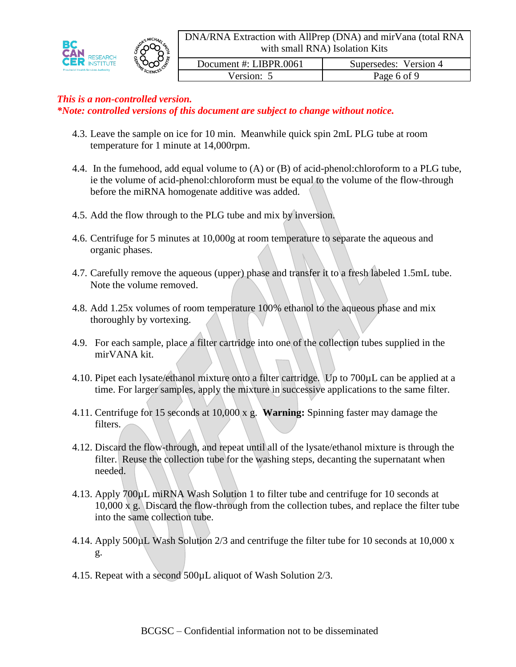



Documentation Document #: LIBPR.0061 | Supersedes: Version 4 Version: 5 Page 6 of 9

# *This is a non-controlled version.*

*\*Note: controlled versions of this document are subject to change without notice.*

- 4.3. Leave the sample on ice for 10 min. Meanwhile quick spin 2mL PLG tube at room temperature for 1 minute at 14,000rpm.
- 4.4. In the fumehood, add equal volume to (A) or (B) of acid-phenol:chloroform to a PLG tube, ie the volume of acid-phenol:chloroform must be equal to the volume of the flow-through before the miRNA homogenate additive was added.
- 4.5. Add the flow through to the PLG tube and mix by inversion.
- 4.6. Centrifuge for 5 minutes at 10,000g at room temperature to separate the aqueous and organic phases.
- 4.7. Carefully remove the aqueous (upper) phase and transfer it to a fresh labeled 1.5mL tube. Note the volume removed.
- 4.8. Add 1.25x volumes of room temperature 100% ethanol to the aqueous phase and mix thoroughly by vortexing.
- 4.9. For each sample, place a filter cartridge into one of the collection tubes supplied in the mirVANA kit.
- 4.10. Pipet each lysate/ethanol mixture onto a filter cartridge. Up to 700µL can be applied at a time. For larger samples, apply the mixture in successive applications to the same filter.
- 4.11. Centrifuge for 15 seconds at 10,000 x g. **Warning:** Spinning faster may damage the filters.
- 4.12. Discard the flow-through, and repeat until all of the lysate/ethanol mixture is through the filter. Reuse the collection tube for the washing steps, decanting the supernatant when needed.
- 4.13. Apply 700µL miRNA Wash Solution 1 to filter tube and centrifuge for 10 seconds at 10,000 x g. Discard the flow-through from the collection tubes, and replace the filter tube into the same collection tube.
- 4.14. Apply 500µL Wash Solution 2/3 and centrifuge the filter tube for 10 seconds at 10,000 x g.
- 4.15. Repeat with a second 500µL aliquot of Wash Solution 2/3.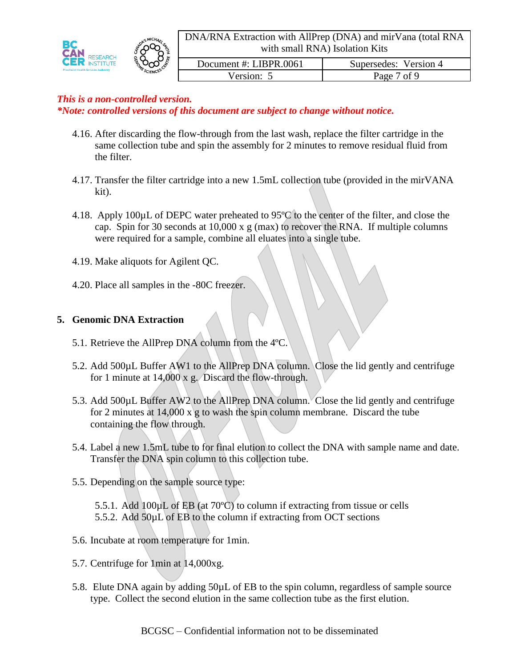



Documentation Document #: LIBPR.0061 | Supersedes: Version 4 Version: 5 Page 7 of 9

# *This is a non-controlled version.*

*\*Note: controlled versions of this document are subject to change without notice.*

- 4.16. After discarding the flow-through from the last wash, replace the filter cartridge in the same collection tube and spin the assembly for 2 minutes to remove residual fluid from the filter.
- 4.17. Transfer the filter cartridge into a new 1.5mL collection tube (provided in the mirVANA kit).
- 4.18. Apply 100µL of DEPC water preheated to 95ºC to the center of the filter, and close the cap. Spin for 30 seconds at 10,000 x g (max) to recover the RNA. If multiple columns were required for a sample, combine all eluates into a single tube.
- 4.19. Make aliquots for Agilent QC.
- 4.20. Place all samples in the -80C freezer.

# **5. Genomic DNA Extraction**

- 5.1. Retrieve the AllPrep DNA column from the 4ºC.
- 5.2. Add 500µL Buffer AW1 to the AllPrep DNA column. Close the lid gently and centrifuge for 1 minute at 14,000 x g. Discard the flow-through.
- 5.3. Add 500µL Buffer AW2 to the AllPrep DNA column. Close the lid gently and centrifuge for 2 minutes at  $14,000 \text{ x/g}$  to wash the spin column membrane. Discard the tube containing the flow through.
- 5.4. Label a new 1.5mL tube to for final elution to collect the DNA with sample name and date. Transfer the DNA spin column to this collection tube.
- 5.5. Depending on the sample source type:
	- 5.5.1. Add 100µL of EB (at 70ºC) to column if extracting from tissue or cells 5.5.2. Add 50µL of EB to the column if extracting from OCT sections
- 5.6. Incubate at room temperature for 1min.
- 5.7. Centrifuge for 1min at 14,000xg.
- 5.8. Elute DNA again by adding 50µL of EB to the spin column, regardless of sample source type. Collect the second elution in the same collection tube as the first elution.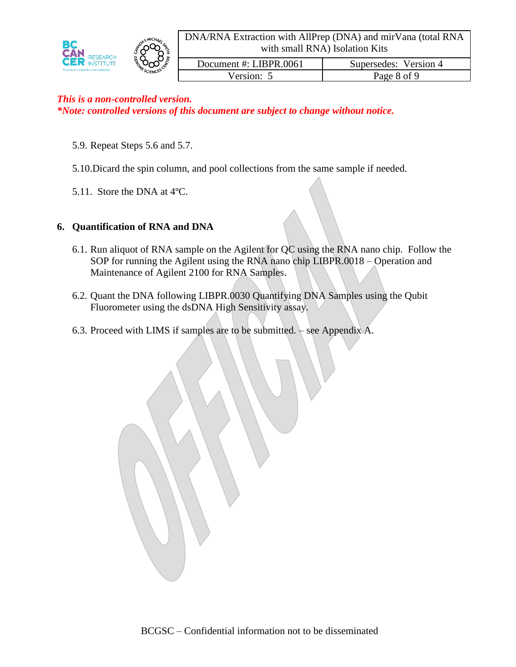

| <b>RESEARCH</b>                             |  |
|---------------------------------------------|--|
| <b>K</b> INSTITUTE                          |  |
| <b>Provincial Health Services Authority</b> |  |



Documentation Document #: LIBPR.0061 | Supersedes: Version 4 Version: 5 Page 8 of 9

# *This is a non-controlled version. \*Note: controlled versions of this document are subject to change without notice.*

- 5.9. Repeat Steps 5.6 and 5.7.
- 5.10.Dicard the spin column, and pool collections from the same sample if needed.
- 5.11. Store the DNA at 4ºC.

# **6. Quantification of RNA and DNA**

- 6.1. Run aliquot of RNA sample on the Agilent for QC using the RNA nano chip. Follow the SOP for running the Agilent using the RNA nano chip LIBPR.0018 – Operation and Maintenance of Agilent 2100 for RNA Samples.
- 6.2. Quant the DNA following LIBPR.0030 Quantifying DNA Samples using the Qubit Fluorometer using the dsDNA High Sensitivity assay.
- 6.3. Proceed with LIMS if samples are to be submitted.  $-$  see Appendix A.